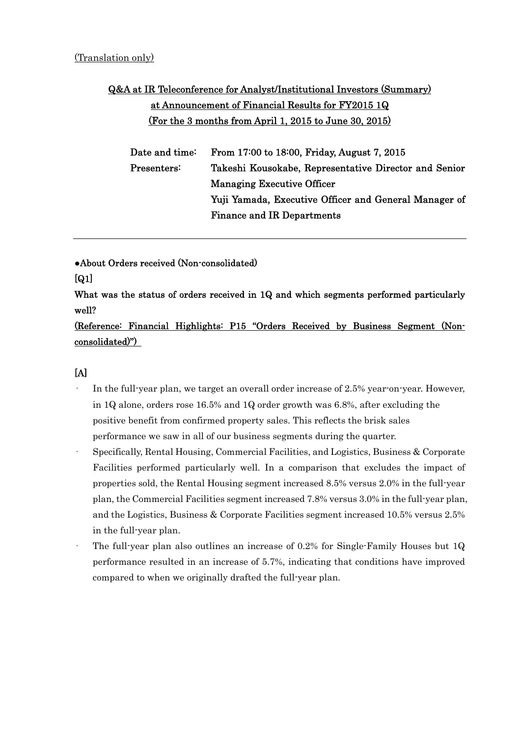# Q&A at IR Teleconference for Analyst/Institutional Investors (Summary) at Announcement of Financial Results for FY2015 1Q (For the 3 months from April 1, 2015 to June 30, 2015)

| Date and time: $\,$               | From 17:00 to 18:00, Friday, August 7, 2015           |
|-----------------------------------|-------------------------------------------------------|
| $\operatorname{Presenters}\colon$ | Takeshi Kousokabe, Representative Director and Senior |
|                                   | <b>Managing Executive Officer</b>                     |
|                                   | Yuji Yamada, Executive Officer and General Manager of |
|                                   | <b>Finance and IR Departments</b>                     |
|                                   |                                                       |

●About Orders received (Non-consolidated)

## [Q1]

What was the status of orders received in 1Q and which segments performed particularly well?

(Reference: Financial Highlights: P15 "Orders Received by Business Segment (Nonconsolidated)")

- In the full-year plan, we target an overall order increase of 2.5% year-on-year. However, in 1Q alone, orders rose 16.5% and 1Q order growth was 6.8%, after excluding the positive benefit from confirmed property sales. This reflects the brisk sales performance we saw in all of our business segments during the quarter.
- · Specifically, Rental Housing, Commercial Facilities, and Logistics, Business & Corporate Facilities performed particularly well. In a comparison that excludes the impact of properties sold, the Rental Housing segment increased 8.5% versus 2.0% in the full-year plan, the Commercial Facilities segment increased 7.8% versus 3.0% in the full-year plan, and the Logistics, Business & Corporate Facilities segment increased 10.5% versus 2.5% in the full-year plan.
- The full-year plan also outlines an increase of  $0.2\%$  for Single-Family Houses but 1Q performance resulted in an increase of 5.7%, indicating that conditions have improved compared to when we originally drafted the full-year plan.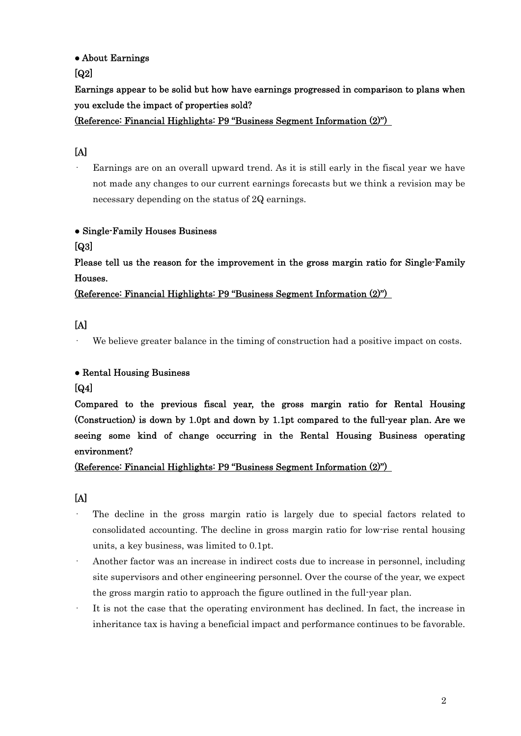### ● About Earnings

 $\lceil$ Q2 $\rceil$ 

Earnings appear to be solid but how have earnings progressed in comparison to plans when you exclude the impact of properties sold?

(Reference: Financial Highlights: P9 "Business Segment Information (2)")

## [A]

Earnings are on an overall upward trend. As it is still early in the fiscal year we have not made any changes to our current earnings forecasts but we think a revision may be necessary depending on the status of 2Q earnings.

### ● Single-Family Houses Business

[Q3]

Please tell us the reason for the improvement in the gross margin ratio for Single-Family Houses.

(Reference: Financial Highlights: P9 "Business Segment Information (2)")

## [A]

We believe greater balance in the timing of construction had a positive impact on costs.

### ● Rental Housing Business

### [Q4]

Compared to the previous fiscal year, the gross margin ratio for Rental Housing (Construction) is down by 1.0pt and down by 1.1pt compared to the full-year plan. Are we seeing some kind of change occurring in the Rental Housing Business operating environment?

(Reference: Financial Highlights: P9 "Business Segment Information (2)")

- The decline in the gross margin ratio is largely due to special factors related to consolidated accounting. The decline in gross margin ratio for low-rise rental housing units, a key business, was limited to 0.1pt.
- · Another factor was an increase in indirect costs due to increase in personnel, including site supervisors and other engineering personnel. Over the course of the year, we expect the gross margin ratio to approach the figure outlined in the full-year plan.
- It is not the case that the operating environment has declined. In fact, the increase in inheritance tax is having a beneficial impact and performance continues to be favorable.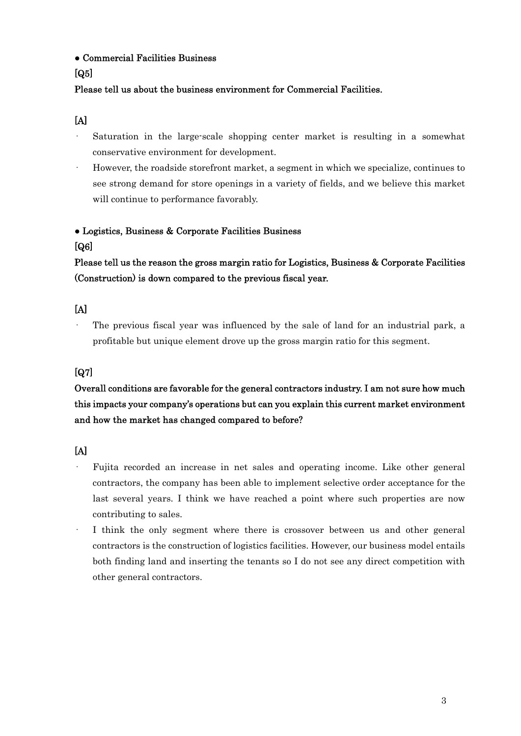● Commercial Facilities Business

### [Q5]

### Please tell us about the business environment for Commercial Facilities.

### [A]

- Saturation in the large-scale shopping center market is resulting in a somewhat conservative environment for development.
- · However, the roadside storefront market, a segment in which we specialize, continues to see strong demand for store openings in a variety of fields, and we believe this market will continue to performance favorably.

### ● Logistics, Business & Corporate Facilities Business

#### [Q6]

Please tell us the reason the gross margin ratio for Logistics, Business & Corporate Facilities (Construction) is down compared to the previous fiscal year.

### [A]

The previous fiscal year was influenced by the sale of land for an industrial park, a profitable but unique element drove up the gross margin ratio for this segment.

## [Q7]

## Overall conditions are favorable for the general contractors industry. I am not sure how much this impacts your company's operations but can you explain this current market environment and how the market has changed compared to before?

- · Fujita recorded an increase in net sales and operating income. Like other general contractors, the company has been able to implement selective order acceptance for the last several years. I think we have reached a point where such properties are now contributing to sales.
- I think the only segment where there is crossover between us and other general contractors is the construction of logistics facilities. However, our business model entails both finding land and inserting the tenants so I do not see any direct competition with other general contractors.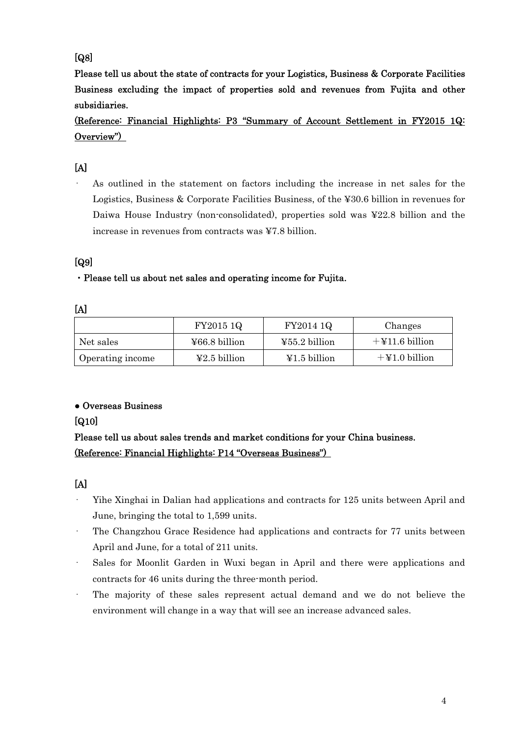## [Q8]

Please tell us about the state of contracts for your Logistics, Business & Corporate Facilities Business excluding the impact of properties sold and revenues from Fujita and other subsidiaries.

(Reference: Financial Highlights: P3 "Summary of Account Settlement in FY2015 1Q: Overview")

## [A]

As outlined in the statement on factors including the increase in net sales for the Logistics, Business & Corporate Facilities Business, of the ¥30.6 billion in revenues for Daiwa House Industry (non-consolidated), properties sold was ¥22.8 billion and the increase in revenues from contracts was ¥7.8 billion.

## [Q9]

### ・Please tell us about net sales and operating income for Fujita.

|                  | FY2015 1Q                          | FY2014 1Q                         | Changes           |
|------------------|------------------------------------|-----------------------------------|-------------------|
| Net sales        | $\text{\textsterling}66.8$ billion | $455.2$ billion                   | $+$ ¥11.6 billion |
| Operating income | $\text{\textsterling}2.5$ billion  | $\text{\textsterling}1.5$ billion | $+$ ¥1.0 billion  |

### ● Overseas Business

### [Q10]

## Please tell us about sales trends and market conditions for your China business. (Reference: Financial Highlights: P14 "Overseas Business")

- · Yihe Xinghai in Dalian had applications and contracts for 125 units between April and June, bringing the total to 1,599 units.
- · The Changzhou Grace Residence had applications and contracts for 77 units between April and June, for a total of 211 units.
- Sales for Moonlit Garden in Wuxi began in April and there were applications and contracts for 46 units during the three-month period.
- The majority of these sales represent actual demand and we do not believe the environment will change in a way that will see an increase advanced sales.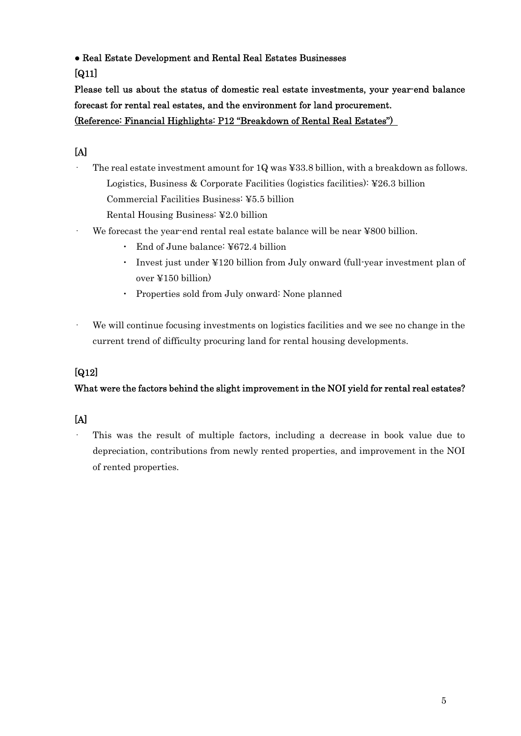● Real Estate Development and Rental Real Estates Businesses

[Q11]

Please tell us about the status of domestic real estate investments, your year-end balance forecast for rental real estates, and the environment for land procurement. (Reference: Financial Highlights: P12 "Breakdown of Rental Real Estates")

## [A]

The real estate investment amount for 1Q was ¥33.8 billion, with a breakdown as follows. Logistics, Business & Corporate Facilities (logistics facilities): ¥26.3 billion Commercial Facilities Business: ¥5.5 billion

Rental Housing Business: ¥2.0 billion

- We forecast the year-end rental real estate balance will be near ¥800 billion.
	- ・ End of June balance: ¥672.4 billion
	- ・ Invest just under ¥120 billion from July onward (full-year investment plan of over ¥150 billion)
	- ・ Properties sold from July onward: None planned
- We will continue focusing investments on logistics facilities and we see no change in the current trend of difficulty procuring land for rental housing developments.

## [Q12]

## What were the factors behind the slight improvement in the NOI yield for rental real estates?

## [A]

This was the result of multiple factors, including a decrease in book value due to depreciation, contributions from newly rented properties, and improvement in the NOI of rented properties.